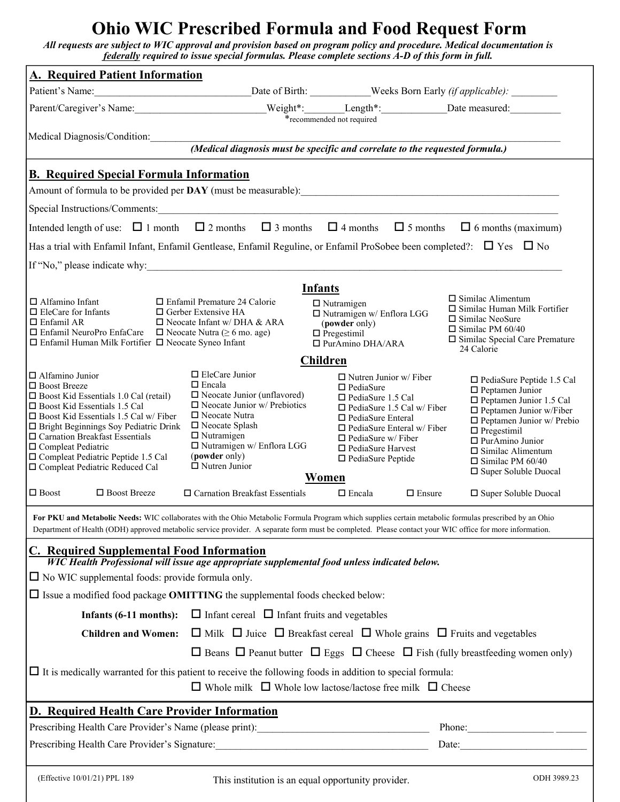# **Ohio WIC Prescribed Formula and Food Request Form**

*All requests are subject to WIC approval and provision based on program policy and procedure. Medical documentation is federally required to issue special formulas. Please complete sections A-D of this form in full.* 

| <b>A. Required Patient Information</b>                                                                                                                                                                                                                                                                           |                                                                                                   |                                                                |                                                                                                                                                                                                                                                                                                                                                                                                              |
|------------------------------------------------------------------------------------------------------------------------------------------------------------------------------------------------------------------------------------------------------------------------------------------------------------------|---------------------------------------------------------------------------------------------------|----------------------------------------------------------------|--------------------------------------------------------------------------------------------------------------------------------------------------------------------------------------------------------------------------------------------------------------------------------------------------------------------------------------------------------------------------------------------------------------|
| Patient's Name:                                                                                                                                                                                                                                                                                                  |                                                                                                   | Date of Birth: ____________Weeks Born Early (if applicable):   |                                                                                                                                                                                                                                                                                                                                                                                                              |
|                                                                                                                                                                                                                                                                                                                  |                                                                                                   |                                                                |                                                                                                                                                                                                                                                                                                                                                                                                              |
| *recommended not required                                                                                                                                                                                                                                                                                        |                                                                                                   |                                                                |                                                                                                                                                                                                                                                                                                                                                                                                              |
| Medical Diagnosis/Condition:<br>(Medical diagnosis must be specific and correlate to the requested formula.)                                                                                                                                                                                                     |                                                                                                   |                                                                |                                                                                                                                                                                                                                                                                                                                                                                                              |
| <b>B. Required Special Formula Information</b>                                                                                                                                                                                                                                                                   |                                                                                                   |                                                                |                                                                                                                                                                                                                                                                                                                                                                                                              |
|                                                                                                                                                                                                                                                                                                                  |                                                                                                   |                                                                |                                                                                                                                                                                                                                                                                                                                                                                                              |
| Special Instructions/Comments:                                                                                                                                                                                                                                                                                   |                                                                                                   |                                                                |                                                                                                                                                                                                                                                                                                                                                                                                              |
| Intended length of use: $\Box$ 1 month $\Box$ 2 months $\Box$ 3 months $\Box$ 4 months $\Box$ 5 months $\Box$ 6 months (maximum)                                                                                                                                                                                 |                                                                                                   |                                                                |                                                                                                                                                                                                                                                                                                                                                                                                              |
| Has a trial with Enfamil Infant, Enfamil Gentlease, Enfamil Reguline, or Enfamil ProSobee been completed?: $\Box$ Yes $\Box$ No                                                                                                                                                                                  |                                                                                                   |                                                                |                                                                                                                                                                                                                                                                                                                                                                                                              |
| If "No," please indicate why:                                                                                                                                                                                                                                                                                    |                                                                                                   |                                                                |                                                                                                                                                                                                                                                                                                                                                                                                              |
|                                                                                                                                                                                                                                                                                                                  |                                                                                                   |                                                                |                                                                                                                                                                                                                                                                                                                                                                                                              |
| $\Box$ Alfamino Infant                                                                                                                                                                                                                                                                                           | $\Box$ Enfamil Premature 24 Calorie                                                               | <b>Infants</b><br>$\Box$ Nutramigen                            | $\Box$ Similac Alimentum                                                                                                                                                                                                                                                                                                                                                                                     |
| $\Box$ EleCare for Infants                                                                                                                                                                                                                                                                                       | $\Box$ Gerber Extensive HA                                                                        | $\Box$ Nutramigen w/ Enflora LGG                               | $\Box$ Similac Human Milk Fortifier<br>$\Box$ Similac NeoSure                                                                                                                                                                                                                                                                                                                                                |
| $\Box$ Enfamil AR<br>$\Box$ Enfamil NeuroPro EnfaCare $\Box$ Neocate Nutra ( $\geq 6$ mo. age)                                                                                                                                                                                                                   | $\Box$ Neocate Infant w/ DHA & ARA                                                                | (powder only)<br>$\Box$ Pregestimil                            | $\Box$ Similac PM 60/40                                                                                                                                                                                                                                                                                                                                                                                      |
| $\Box$ Enfamil Human Milk Fortifier $\Box$ Neocate Syneo Infant                                                                                                                                                                                                                                                  |                                                                                                   | □ PurAmino DHA/ARA                                             | $\square$ Similac Special Care Premature<br>24 Calorie                                                                                                                                                                                                                                                                                                                                                       |
| <b>Children</b><br>$\Box$ EleCare Junior                                                                                                                                                                                                                                                                         |                                                                                                   |                                                                |                                                                                                                                                                                                                                                                                                                                                                                                              |
| $\Box$ Alfamino Junior<br>$\Box$ Boost Breeze                                                                                                                                                                                                                                                                    | $\Box$ Encala                                                                                     | $\Box$ Nutren Junior w/ Fiber<br>$\Box$ PediaSure              | $\Box$ PediaSure Peptide 1.5 Cal<br>$\Box$ Peptamen Junior                                                                                                                                                                                                                                                                                                                                                   |
| $\Box$ Boost Kid Essentials 1.0 Cal (retail)<br>□ Boost Kid Essentials 1.5 Cal                                                                                                                                                                                                                                   | $\Box$ Neocate Junior (unflavored)<br>$\Box$ Neocate Junior w/ Prebiotics                         | $\Box$ PediaSure 1.5 Cal<br>$\Box$ PediaSure 1.5 Cal w/ Fiber  | $\square$ Peptamen Junior 1.5 Cal                                                                                                                                                                                                                                                                                                                                                                            |
| $\square$ Boost Kid Essentials 1.5 Cal w/ Fiber                                                                                                                                                                                                                                                                  | $\Box$ Neocate Nutra                                                                              | $\Box$ PediaSure Enteral                                       | $\square$ Peptamen Junior w/Fiber<br>$\Box$ Peptamen Junior w/ Prebio                                                                                                                                                                                                                                                                                                                                        |
| $\Box$ Bright Beginnings Soy Pediatric Drink<br>$\square$ Carnation Breakfast Essentials                                                                                                                                                                                                                         | $\square$ Neocate Splash<br>$\Box$ Nutramigen                                                     | $\Box$ PediaSure Enteral w/ Fiber<br>$\Box$ PediaSure w/ Fiber | $\Box$ Pregestimil                                                                                                                                                                                                                                                                                                                                                                                           |
| $\square$ Compleat Pediatric                                                                                                                                                                                                                                                                                     | $\Box$ Nutramigen w/ Enflora LGG<br>(powder only)                                                 | $\Box$ PediaSure Harvest                                       | $\Box$ PurAmino Junior<br>$\Box$ Similac Alimentum                                                                                                                                                                                                                                                                                                                                                           |
| Compleat Pediatric Peptide 1.5 Cal<br>□ Compleat Pediatric Reduced Cal                                                                                                                                                                                                                                           | $\Box$ Nutren Junior                                                                              | $\Box$ PediaSure Peptide                                       | $\Box$ Similac PM 60/40<br>□ Super Soluble Duocal                                                                                                                                                                                                                                                                                                                                                            |
| Women                                                                                                                                                                                                                                                                                                            |                                                                                                   |                                                                |                                                                                                                                                                                                                                                                                                                                                                                                              |
| $\Box$ Boost<br>□ Boost Breeze                                                                                                                                                                                                                                                                                   | $\Box$ Carnation Breakfast Essentials                                                             | $\Box$ Encala<br>$\Box$ Ensure                                 | □ Super Soluble Duocal                                                                                                                                                                                                                                                                                                                                                                                       |
| For PKU and Metabolic Needs: WIC collaborates with the Ohio Metabolic Formula Program which supplies certain metabolic formulas prescribed by an Ohio<br>Department of Health (ODH) approved metabolic service provider. A separate form must be completed. Please contact your WIC office for more information. |                                                                                                   |                                                                |                                                                                                                                                                                                                                                                                                                                                                                                              |
| <b>C. Required Supplemental Food Information</b>                                                                                                                                                                                                                                                                 |                                                                                                   |                                                                |                                                                                                                                                                                                                                                                                                                                                                                                              |
| WIC Health Professional will issue age appropriate supplemental food unless indicated below.<br>$\Box$ No WIC supplemental foods: provide formula only.                                                                                                                                                          |                                                                                                   |                                                                |                                                                                                                                                                                                                                                                                                                                                                                                              |
| $\Box$ Issue a modified food package <b>OMITTING</b> the supplemental foods checked below:                                                                                                                                                                                                                       |                                                                                                   |                                                                |                                                                                                                                                                                                                                                                                                                                                                                                              |
| $\Box$ Infant cereal $\Box$ Infant fruits and vegetables                                                                                                                                                                                                                                                         |                                                                                                   |                                                                |                                                                                                                                                                                                                                                                                                                                                                                                              |
| Infants $(6-11$ months):<br><b>Children and Women:</b>                                                                                                                                                                                                                                                           | $\Box$ Milk $\Box$ Juice $\Box$ Breakfast cereal $\Box$ Whole grains $\Box$ Fruits and vegetables |                                                                |                                                                                                                                                                                                                                                                                                                                                                                                              |
|                                                                                                                                                                                                                                                                                                                  |                                                                                                   |                                                                |                                                                                                                                                                                                                                                                                                                                                                                                              |
| $\Box$ Beans $\Box$ Peanut butter $\Box$ Eggs $\Box$ Cheese $\Box$ Fish (fully breastfeeding women only)                                                                                                                                                                                                         |                                                                                                   |                                                                |                                                                                                                                                                                                                                                                                                                                                                                                              |
| $\Box$ It is medically warranted for this patient to receive the following foods in addition to special formula:<br>$\Box$ Whole milk $\Box$ Whole low lactose/lactose free milk $\Box$ Cheese                                                                                                                   |                                                                                                   |                                                                |                                                                                                                                                                                                                                                                                                                                                                                                              |
| <b>D. Required Health Care Provider Information</b>                                                                                                                                                                                                                                                              |                                                                                                   |                                                                |                                                                                                                                                                                                                                                                                                                                                                                                              |
|                                                                                                                                                                                                                                                                                                                  |                                                                                                   |                                                                | Phone: $\frac{1}{\sqrt{1-\frac{1}{2}}\sqrt{1-\frac{1}{2}}\sqrt{1-\frac{1}{2}}\sqrt{1-\frac{1}{2}}\sqrt{1-\frac{1}{2}}\sqrt{1-\frac{1}{2}}\sqrt{1-\frac{1}{2}}\sqrt{1-\frac{1}{2}}\sqrt{1-\frac{1}{2}}\sqrt{1-\frac{1}{2}}\sqrt{1-\frac{1}{2}}\sqrt{1-\frac{1}{2}}\sqrt{1-\frac{1}{2}}\sqrt{1-\frac{1}{2}}\sqrt{1-\frac{1}{2}}\sqrt{1-\frac{1}{2}}\sqrt{1-\frac{1}{2}}\sqrt{1-\frac{1}{2}}\sqrt{1-\frac{1}{2$ |
| Prescribing Health Care Provider's Signature: ___________________________________                                                                                                                                                                                                                                |                                                                                                   |                                                                | Date:                                                                                                                                                                                                                                                                                                                                                                                                        |
|                                                                                                                                                                                                                                                                                                                  |                                                                                                   |                                                                |                                                                                                                                                                                                                                                                                                                                                                                                              |